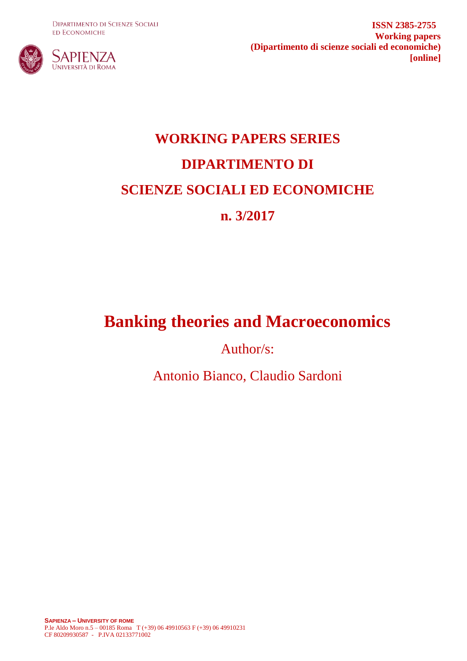**DIPARTIMENTO DI SCIENZE SOCIALI ED ECONOMICHE** 



**ISSN 2385-2755 Working papers (Dipartimento di scienze sociali ed economiche) [online]**

# **WORKING PAPERS SERIES DIPARTIMENTO DI SCIENZE SOCIALI ED ECONOMICHE n. 3/2017**

# **Banking theories and Macroeconomics**

Author/s:

Antonio Bianco, Claudio Sardoni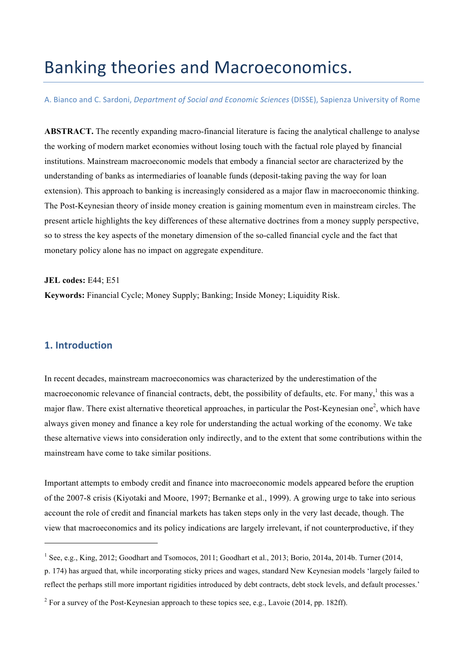# Banking theories and Macroeconomics.

A. Bianco and C. Sardoni, *Department of Social and Economic Sciences* (DISSE), Sapienza University of Rome

**ABSTRACT.** The recently expanding macro-financial literature is facing the analytical challenge to analyse the working of modern market economies without losing touch with the factual role played by financial institutions. Mainstream macroeconomic models that embody a financial sector are characterized by the understanding of banks as intermediaries of loanable funds (deposit-taking paving the way for loan extension). This approach to banking is increasingly considered as a major flaw in macroeconomic thinking. The Post-Keynesian theory of inside money creation is gaining momentum even in mainstream circles. The present article highlights the key differences of these alternative doctrines from a money supply perspective, so to stress the key aspects of the monetary dimension of the so-called financial cycle and the fact that monetary policy alone has no impact on aggregate expenditure.

**JEL codes:** E44; E51

**Keywords:** Financial Cycle; Money Supply; Banking; Inside Money; Liquidity Risk.

## **1. Introduction**

In recent decades, mainstream macroeconomics was characterized by the underestimation of the macroeconomic relevance of financial contracts, debt, the possibility of defaults, etc. For many,<sup>1</sup> this was a major flaw. There exist alternative theoretical approaches, in particular the Post-Keynesian one<sup>2</sup>, which have always given money and finance a key role for understanding the actual working of the economy. We take these alternative views into consideration only indirectly, and to the extent that some contributions within the mainstream have come to take similar positions.

Important attempts to embody credit and finance into macroeconomic models appeared before the eruption of the 2007-8 crisis (Kiyotaki and Moore, 1997; Bernanke et al., 1999). A growing urge to take into serious account the role of credit and financial markets has taken steps only in the very last decade, though. The view that macroeconomics and its policy indications are largely irrelevant, if not counterproductive, if they

<sup>&</sup>lt;sup>1</sup> See, e.g., King, 2012; Goodhart and Tsomocos, 2011; Goodhart et al., 2013; Borio, 2014a, 2014b. Turner (2014, p. 174) has argued that, while incorporating sticky prices and wages, standard New Keynesian models 'largely failed to reflect the perhaps still more important rigidities introduced by debt contracts, debt stock levels, and default processes.'

<sup>&</sup>lt;sup>2</sup> For a survey of the Post-Keynesian approach to these topics see, e.g., Lavoie (2014, pp. 182ff).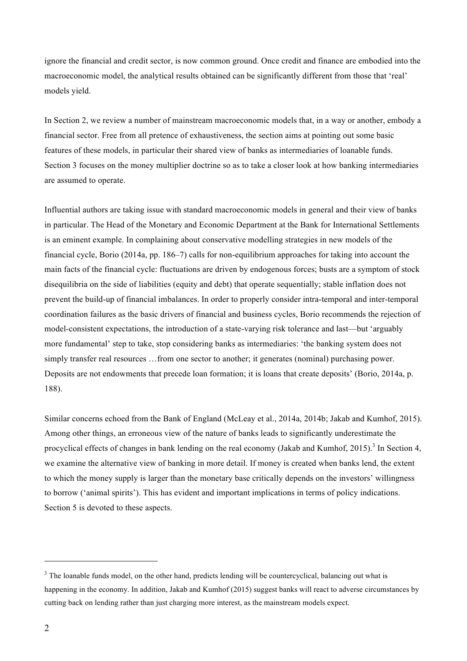ignore the financial and credit sector, is now common ground. Once credit and finance are embodied into the macroeconomic model, the analytical results obtained can be significantly different from those that 'real' models yield.

In Section 2, we review a number of mainstream macroeconomic models that, in a way or another, embody a financial sector. Free from all pretence of exhaustiveness, the section aims at pointing out some basic features of these models, in particular their shared view of banks as intermediaries of loanable funds. Section 3 focuses on the money multiplier doctrine so as to take a closer look at how banking intermediaries are assumed to operate.

Influential authors are taking issue with standard macroeconomic models in general and their view of banks in particular. The Head of the Monetary and Economic Department at the Bank for International Settlements is an eminent example. In complaining about conservative modelling strategies in new models of the financial cycle, Borio (2014a, pp. 186–7) calls for non-equilibrium approaches for taking into account the main facts of the financial cycle: fluctuations are driven by endogenous forces; busts are a symptom of stock disequilibria on the side of liabilities (equity and debt) that operate sequentially; stable inflation does not prevent the build-up of financial imbalances. In order to properly consider intra-temporal and inter-temporal coordination failures as the basic drivers of financial and business cycles, Borio recommends the rejection of model-consistent expectations, the introduction of a state-varying risk tolerance and last—but 'arguably more fundamental' step to take, stop considering banks as intermediaries: 'the banking system does not simply transfer real resources …from one sector to another; it generates (nominal) purchasing power. Deposits are not endowments that precede loan formation; it is loans that create deposits' (Borio, 2014a, p. 188).

Similar concerns echoed from the Bank of England (McLeay et al., 2014a, 2014b; Jakab and Kumhof, 2015). Among other things, an erroneous view of the nature of banks leads to significantly underestimate the procyclical effects of changes in bank lending on the real economy (Jakab and Kumhof, 2015).<sup>3</sup> In Section 4, we examine the alternative view of banking in more detail. If money is created when banks lend, the extent to which the money supply is larger than the monetary base critically depends on the investors' willingness to borrow ('animal spirits'). This has evident and important implications in terms of policy indications. Section 5 is devoted to these aspects.

<sup>&</sup>lt;sup>3</sup> The loanable funds model, on the other hand, predicts lending will be countercyclical, balancing out what is happening in the economy. In addition, Jakab and Kumhof (2015) suggest banks will react to adverse circumstances by cutting back on lending rather than just charging more interest, as the mainstream models expect.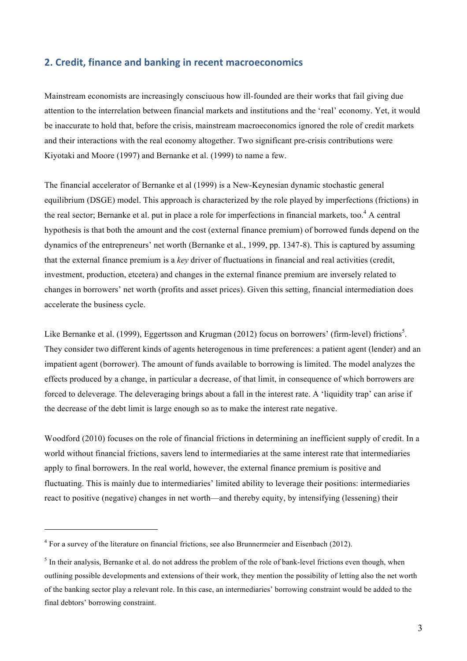#### **2. Credit, finance and banking in recent macroeconomics**

Mainstream economists are increasingly consciuous how ill-founded are their works that fail giving due attention to the interrelation between financial markets and institutions and the 'real' economy. Yet, it would be inaccurate to hold that, before the crisis, mainstream macroeconomics ignored the role of credit markets and their interactions with the real economy altogether. Two significant pre-crisis contributions were Kiyotaki and Moore (1997) and Bernanke et al. (1999) to name a few.

The financial accelerator of Bernanke et al (1999) is a New-Keynesian dynamic stochastic general equilibrium (DSGE) model. This approach is characterized by the role played by imperfections (frictions) in the real sector; Bernanke et al. put in place a role for imperfections in financial markets, too.<sup>4</sup> A central hypothesis is that both the amount and the cost (external finance premium) of borrowed funds depend on the dynamics of the entrepreneurs' net worth (Bernanke et al., 1999, pp. 1347-8). This is captured by assuming that the external finance premium is a *key* driver of fluctuations in financial and real activities (credit, investment, production, etcetera) and changes in the external finance premium are inversely related to changes in borrowers' net worth (profits and asset prices). Given this setting, financial intermediation does accelerate the business cycle.

Like Bernanke et al. (1999), Eggertsson and Krugman (2012) focus on borrowers' (firm-level) frictions<sup>5</sup>. They consider two different kinds of agents heterogenous in time preferences: a patient agent (lender) and an impatient agent (borrower). The amount of funds available to borrowing is limited. The model analyzes the effects produced by a change, in particular a decrease, of that limit, in consequence of which borrowers are forced to deleverage. The deleveraging brings about a fall in the interest rate. A 'liquidity trap' can arise if the decrease of the debt limit is large enough so as to make the interest rate negative.

Woodford (2010) focuses on the role of financial frictions in determining an inefficient supply of credit. In a world without financial frictions, savers lend to intermediaries at the same interest rate that intermediaries apply to final borrowers. In the real world, however, the external finance premium is positive and fluctuating. This is mainly due to intermediaries' limited ability to leverage their positions: intermediaries react to positive (negative) changes in net worth—and thereby equity, by intensifying (lessening) their

<sup>4</sup> For a survey of the literature on financial frictions, see also Brunnermeier and Eisenbach (2012).

 $<sup>5</sup>$  In their analysis, Bernanke et al. do not address the problem of the role of bank-level frictions even though, when</sup> outlining possible developments and extensions of their work, they mention the possibility of letting also the net worth of the banking sector play a relevant role. In this case, an intermediaries' borrowing constraint would be added to the final debtors' borrowing constraint.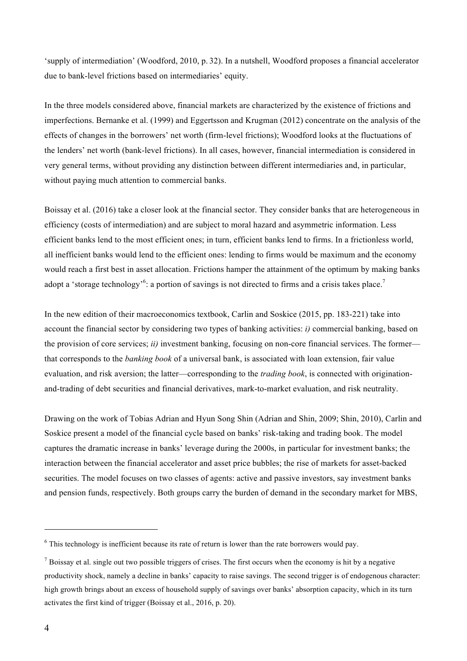'supply of intermediation' (Woodford, 2010, p. 32). In a nutshell, Woodford proposes a financial accelerator due to bank-level frictions based on intermediaries' equity.

In the three models considered above, financial markets are characterized by the existence of frictions and imperfections. Bernanke et al. (1999) and Eggertsson and Krugman (2012) concentrate on the analysis of the effects of changes in the borrowers' net worth (firm-level frictions); Woodford looks at the fluctuations of the lenders' net worth (bank-level frictions). In all cases, however, financial intermediation is considered in very general terms, without providing any distinction between different intermediaries and, in particular, without paying much attention to commercial banks.

Boissay et al. (2016) take a closer look at the financial sector. They consider banks that are heterogeneous in efficiency (costs of intermediation) and are subject to moral hazard and asymmetric information. Less efficient banks lend to the most efficient ones; in turn, efficient banks lend to firms. In a frictionless world, all inefficient banks would lend to the efficient ones: lending to firms would be maximum and the economy would reach a first best in asset allocation. Frictions hamper the attainment of the optimum by making banks adopt a 'storage technology'<sup>6</sup>: a portion of savings is not directed to firms and a crisis takes place.<sup>7</sup>

In the new edition of their macroeconomics textbook, Carlin and Soskice (2015, pp. 183-221) take into account the financial sector by considering two types of banking activities: *i)* commercial banking, based on the provision of core services; *ii)* investment banking, focusing on non-core financial services. The former that corresponds to the *banking book* of a universal bank, is associated with loan extension, fair value evaluation, and risk aversion; the latter—corresponding to the *trading book*, is connected with originationand-trading of debt securities and financial derivatives, mark-to-market evaluation, and risk neutrality.

Drawing on the work of Tobias Adrian and Hyun Song Shin (Adrian and Shin, 2009; Shin, 2010), Carlin and Soskice present a model of the financial cycle based on banks' risk-taking and trading book. The model captures the dramatic increase in banks' leverage during the 2000s, in particular for investment banks; the interaction between the financial accelerator and asset price bubbles; the rise of markets for asset-backed securities. The model focuses on two classes of agents: active and passive investors, say investment banks and pension funds, respectively. Both groups carry the burden of demand in the secondary market for MBS,

<sup>&</sup>lt;sup>6</sup> This technology is inefficient because its rate of return is lower than the rate borrowers would pay.

 $<sup>7</sup>$  Boissay et al. single out two possible triggers of crises. The first occurs when the economy is hit by a negative</sup> productivity shock, namely a decline in banks' capacity to raise savings. The second trigger is of endogenous character: high growth brings about an excess of household supply of savings over banks' absorption capacity, which in its turn activates the first kind of trigger (Boissay et al., 2016, p. 20).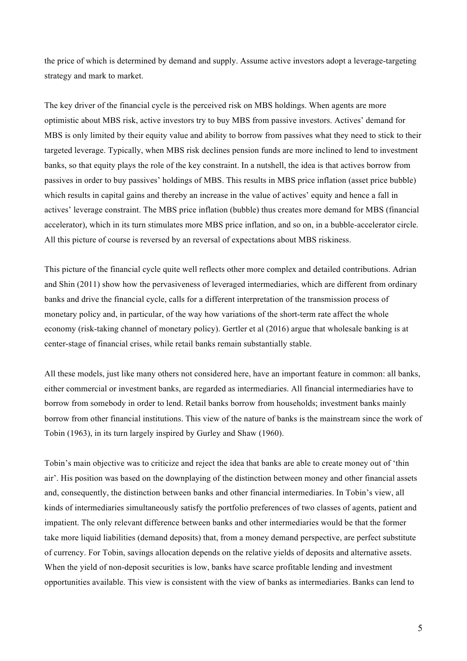the price of which is determined by demand and supply. Assume active investors adopt a leverage-targeting strategy and mark to market.

The key driver of the financial cycle is the perceived risk on MBS holdings. When agents are more optimistic about MBS risk, active investors try to buy MBS from passive investors. Actives' demand for MBS is only limited by their equity value and ability to borrow from passives what they need to stick to their targeted leverage. Typically, when MBS risk declines pension funds are more inclined to lend to investment banks, so that equity plays the role of the key constraint. In a nutshell, the idea is that actives borrow from passives in order to buy passives' holdings of MBS. This results in MBS price inflation (asset price bubble) which results in capital gains and thereby an increase in the value of actives' equity and hence a fall in actives' leverage constraint. The MBS price inflation (bubble) thus creates more demand for MBS (financial accelerator), which in its turn stimulates more MBS price inflation, and so on, in a bubble-accelerator circle. All this picture of course is reversed by an reversal of expectations about MBS riskiness.

This picture of the financial cycle quite well reflects other more complex and detailed contributions. Adrian and Shin (2011) show how the pervasiveness of leveraged intermediaries, which are different from ordinary banks and drive the financial cycle, calls for a different interpretation of the transmission process of monetary policy and, in particular, of the way how variations of the short-term rate affect the whole economy (risk-taking channel of monetary policy). Gertler et al (2016) argue that wholesale banking is at center-stage of financial crises, while retail banks remain substantially stable.

All these models, just like many others not considered here, have an important feature in common: all banks, either commercial or investment banks, are regarded as intermediaries. All financial intermediaries have to borrow from somebody in order to lend. Retail banks borrow from households; investment banks mainly borrow from other financial institutions. This view of the nature of banks is the mainstream since the work of Tobin (1963), in its turn largely inspired by Gurley and Shaw (1960).

Tobin's main objective was to criticize and reject the idea that banks are able to create money out of 'thin air'. His position was based on the downplaying of the distinction between money and other financial assets and, consequently, the distinction between banks and other financial intermediaries. In Tobin's view, all kinds of intermediaries simultaneously satisfy the portfolio preferences of two classes of agents, patient and impatient. The only relevant difference between banks and other intermediaries would be that the former take more liquid liabilities (demand deposits) that, from a money demand perspective, are perfect substitute of currency. For Tobin, savings allocation depends on the relative yields of deposits and alternative assets. When the yield of non-deposit securities is low, banks have scarce profitable lending and investment opportunities available. This view is consistent with the view of banks as intermediaries. Banks can lend to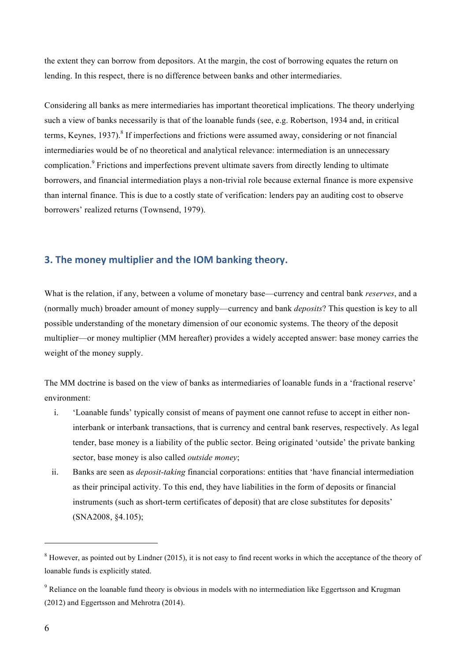the extent they can borrow from depositors. At the margin, the cost of borrowing equates the return on lending. In this respect, there is no difference between banks and other intermediaries.

Considering all banks as mere intermediaries has important theoretical implications. The theory underlying such a view of banks necessarily is that of the loanable funds (see, e.g. Robertson, 1934 and, in critical terms, Keynes, 1937). <sup>8</sup> If imperfections and frictions were assumed away, considering or not financial intermediaries would be of no theoretical and analytical relevance: intermediation is an unnecessary complication.<sup>9</sup> Frictions and imperfections prevent ultimate savers from directly lending to ultimate borrowers, and financial intermediation plays a non-trivial role because external finance is more expensive than internal finance. This is due to a costly state of verification: lenders pay an auditing cost to observe borrowers' realized returns (Townsend, 1979).

## **3. The money multiplier and the IOM banking theory.**

What is the relation, if any, between a volume of monetary base—currency and central bank *reserves*, and a (normally much) broader amount of money supply—currency and bank *deposits*? This question is key to all possible understanding of the monetary dimension of our economic systems. The theory of the deposit multiplier—or money multiplier (MM hereafter) provides a widely accepted answer: base money carries the weight of the money supply.

The MM doctrine is based on the view of banks as intermediaries of loanable funds in a 'fractional reserve' environment:

- i. 'Loanable funds' typically consist of means of payment one cannot refuse to accept in either noninterbank or interbank transactions, that is currency and central bank reserves, respectively. As legal tender, base money is a liability of the public sector. Being originated 'outside' the private banking sector, base money is also called *outside money*;
- ii. Banks are seen as *deposit-taking* financial corporations: entities that 'have financial intermediation as their principal activity. To this end, they have liabilities in the form of deposits or financial instruments (such as short-term certificates of deposit) that are close substitutes for deposits' (SNA2008, §4.105);

<sup>&</sup>lt;sup>8</sup> However, as pointed out by Lindner (2015), it is not easy to find recent works in which the acceptance of the theory of loanable funds is explicitly stated.

<sup>&</sup>lt;sup>9</sup> Reliance on the loanable fund theory is obvious in models with no intermediation like Eggertsson and Krugman (2012) and Eggertsson and Mehrotra (2014).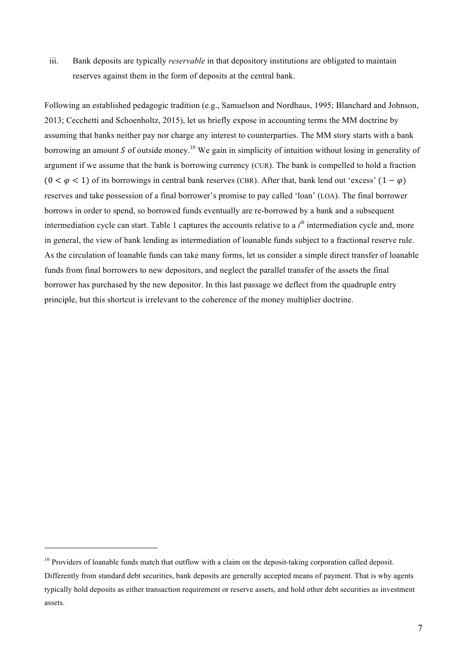iii. Bank deposits are typically *reservable* in that depository institutions are obligated to maintain reserves against them in the form of deposits at the central bank.

Following an established pedagogic tradition (e.g., Samuelson and Nordhaus, 1995; Blanchard and Johnson, 2013; Cecchetti and Schoenholtz, 2015), let us briefly expose in accounting terms the MM doctrine by assuming that banks neither pay nor charge any interest to counterparties. The MM story starts with a bank borrowing an amount S of outside money.<sup>10</sup> We gain in simplicity of intuition without losing in generality of argument if we assume that the bank is borrowing currency (CUR). The bank is compelled to hold a fraction  $(0 < \varphi < 1)$  of its borrowings in central bank reserves (CBR). After that, bank lend out 'excess'  $(1 - \varphi)$ reserves and take possession of a final borrower's promise to pay called 'loan' (LOA). The final borrower borrows in order to spend, so borrowed funds eventually are re-borrowed by a bank and a subsequent intermediation cycle can start. Table 1 captures the accounts relative to a  $i<sup>th</sup>$  intermediation cycle and, more in general, the view of bank lending as intermediation of loanable funds subject to a fractional reserve rule. As the circulation of loanable funds can take many forms, let us consider a simple direct transfer of loanable funds from final borrowers to new depositors, and neglect the parallel transfer of the assets the final borrower has purchased by the new depositor. In this last passage we deflect from the quadruple entry principle, but this shortcut is irrelevant to the coherence of the money multiplier doctrine.

 $10$  Providers of loanable funds match that outflow with a claim on the deposit-taking corporation called deposit. Differently from standard debt securities, bank deposits are generally accepted means of payment. That is why agents typically hold deposits as either transaction requirement or reserve assets, and hold other debt securities as investment assets.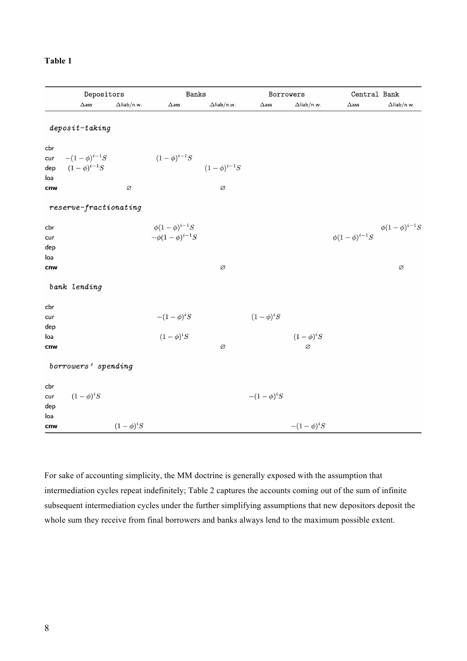|  | йΙ | וח<br>٦. |  |
|--|----|----------|--|
|--|----|----------|--|

|     | Depositors              |                    | <b>Banks</b>           |                    | Borrowers      |                    | Central Bank                                |                    |  |
|-----|-------------------------|--------------------|------------------------|--------------------|----------------|--------------------|---------------------------------------------|--------------------|--|
|     | $\Delta$ ass            | $\Delta$ liab/n.w. | $\Delta$ ass           | $\Delta$ liab/n.w. | $\Delta$ ass   | $\Delta$ liab/n.w. | $\Delta \mathsf{ass}$                       | $\Delta$ liab/n.w. |  |
|     | $deposit$ -taking       |                    |                        |                    |                |                    |                                             |                    |  |
|     |                         |                    |                        |                    |                |                    |                                             |                    |  |
| cbr |                         |                    |                        |                    |                |                    |                                             |                    |  |
| cur | $-(1 - \phi)^{i-1}S$    |                    | $(1 - \phi)^{i-1}S$    |                    |                |                    |                                             |                    |  |
| dep | $(1 - \phi)^{i-1}S$     |                    |                        | $(1-\phi)^{i-1}S$  |                |                    |                                             |                    |  |
| loa |                         |                    |                        |                    |                |                    |                                             |                    |  |
| cnw |                         | Ø                  |                        | Ø                  |                |                    |                                             |                    |  |
|     | $reserve-fractionating$ |                    |                        |                    |                |                    |                                             |                    |  |
| cbr |                         |                    | $\phi(1-\phi)^{i-1}S$  |                    |                |                    | $\phi(1-\phi)^{i-1}S$ $\phi(1-\phi)^{i-1}S$ |                    |  |
| cur |                         |                    | $-\phi(1-\phi)^{i-1}S$ |                    |                |                    |                                             |                    |  |
| dep |                         |                    |                        |                    |                |                    |                                             |                    |  |
| loa |                         |                    |                        |                    |                |                    |                                             |                    |  |
| cnw |                         |                    |                        | Ø                  |                |                    |                                             | Ø                  |  |
|     | bank lending            |                    |                        |                    |                |                    |                                             |                    |  |
| cbr |                         |                    |                        |                    |                |                    |                                             |                    |  |
| cur |                         |                    | $-(1-\phi)^iS$         |                    | $(1-\phi)^iS$  |                    |                                             |                    |  |
| dep |                         |                    |                        |                    |                |                    |                                             |                    |  |
| loa |                         |                    | $(1-\phi)^iS$          |                    |                | $(1-\phi)^iS$      |                                             |                    |  |
| cnw |                         |                    |                        | Ø                  |                | Ø                  |                                             |                    |  |
|     | borrowers' spending     |                    |                        |                    |                |                    |                                             |                    |  |
| cbr |                         |                    |                        |                    |                |                    |                                             |                    |  |
| cur | $(1-\phi)^iS$           |                    |                        |                    | $-(1-\phi)^iS$ |                    |                                             |                    |  |
| dep |                         |                    |                        |                    |                |                    |                                             |                    |  |
| loa |                         |                    |                        |                    |                |                    |                                             |                    |  |
| cnw |                         | $(1-\phi)^iS$      |                        |                    |                | $-(1-\phi)^iS$     |                                             |                    |  |

For sake of accounting simplicity, the MM doctrine is generally exposed with the assumption that intermediation cycles repeat indefinitely; Table 2 captures the accounts coming out of the sum of infinite subsequent intermediation cycles under the further simplifying assumptions that new depositors deposit the whole sum they receive from final borrowers and banks always lend to the maximum possible extent.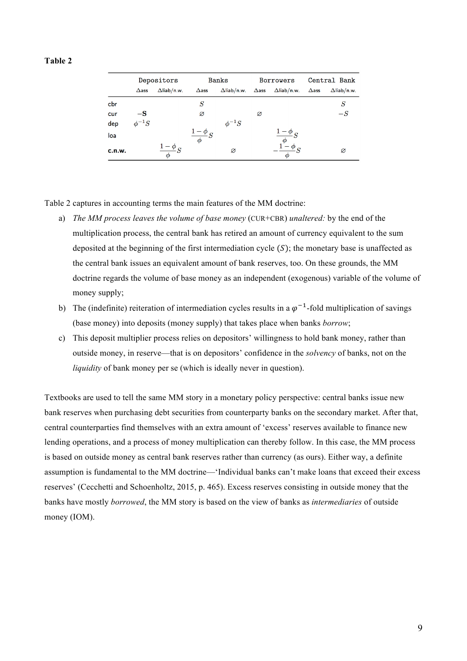#### **Table 2**

|        | Depositors    |                    | <b>Banks</b>     |                    | <b>Borrowers</b> |                     | Central Bank |                    |
|--------|---------------|--------------------|------------------|--------------------|------------------|---------------------|--------------|--------------------|
|        | $\Delta$ ass  | $\Delta$ liab/n.w. | $\Delta$ ass     | $\Delta$ liab/n.w. | $\Delta$ ass     | $\Delta$ liab/n.w.  | $\Delta$ ass | $\Delta$ liab/n.w. |
| cbr    |               |                    | S                |                    |                  |                     |              | S                  |
| cur    | $-\mathbf{S}$ |                    | Ø                |                    | Ø                |                     |              | $-S$               |
| dep    | $\phi^{-1}S$  |                    |                  | $\phi^{-1}S$       |                  |                     |              |                    |
| loa    |               |                    | $\phi$<br>$\phi$ |                    |                  | $\boldsymbol{\phi}$ |              |                    |
| c.n.w. |               | $\phi$             |                  | Ø                  |                  |                     |              | Ø                  |

Table 2 captures in accounting terms the main features of the MM doctrine:

- a) *The MM process leaves the volume of base money* (CUR+CBR) *unaltered:* by the end of the multiplication process, the central bank has retired an amount of currency equivalent to the sum deposited at the beginning of the first intermediation cycle  $(S)$ ; the monetary base is unaffected as the central bank issues an equivalent amount of bank reserves, too. On these grounds, the MM doctrine regards the volume of base money as an independent (exogenous) variable of the volume of money supply;
- b) The (indefinite) reiteration of intermediation cycles results in a  $\varphi^{-1}$ -fold multiplication of savings (base money) into deposits (money supply) that takes place when banks *borrow*;
- c) This deposit multiplier process relies on depositors' willingness to hold bank money, rather than outside money, in reserve—that is on depositors' confidence in the *solvency* of banks, not on the *liquidity* of bank money per se (which is ideally never in question).

Textbooks are used to tell the same MM story in a monetary policy perspective: central banks issue new bank reserves when purchasing debt securities from counterparty banks on the secondary market. After that, central counterparties find themselves with an extra amount of 'excess' reserves available to finance new lending operations, and a process of money multiplication can thereby follow. In this case, the MM process is based on outside money as central bank reserves rather than currency (as ours). Either way, a definite assumption is fundamental to the MM doctrine—'Individual banks can't make loans that exceed their excess reserves' (Cecchetti and Schoenholtz, 2015, p. 465). Excess reserves consisting in outside money that the banks have mostly *borrowed*, the MM story is based on the view of banks as *intermediaries* of outside money (IOM).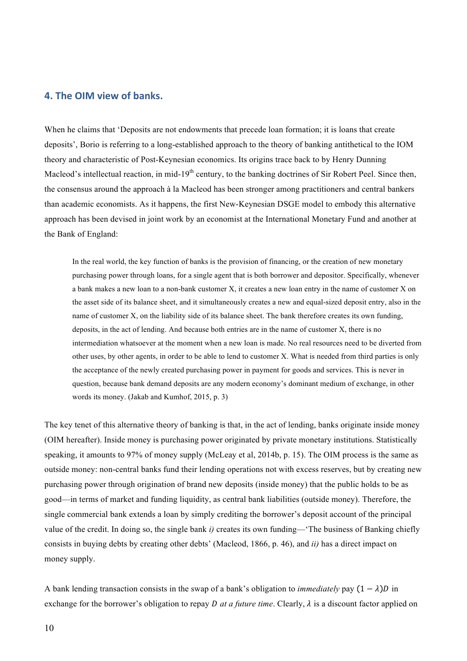# **4. The OIM view of banks.**

When he claims that 'Deposits are not endowments that precede loan formation; it is loans that create deposits', Borio is referring to a long-established approach to the theory of banking antithetical to the IOM theory and characteristic of Post-Keynesian economics. Its origins trace back to by Henry Dunning Macleod's intellectual reaction, in mid-19<sup>th</sup> century, to the banking doctrines of Sir Robert Peel. Since then, the consensus around the approach à la Macleod has been stronger among practitioners and central bankers than academic economists. As it happens, the first New-Keynesian DSGE model to embody this alternative approach has been devised in joint work by an economist at the International Monetary Fund and another at the Bank of England:

In the real world, the key function of banks is the provision of financing, or the creation of new monetary purchasing power through loans, for a single agent that is both borrower and depositor. Specifically, whenever a bank makes a new loan to a non-bank customer X, it creates a new loan entry in the name of customer X on the asset side of its balance sheet, and it simultaneously creates a new and equal-sized deposit entry, also in the name of customer X, on the liability side of its balance sheet. The bank therefore creates its own funding, deposits, in the act of lending. And because both entries are in the name of customer X, there is no intermediation whatsoever at the moment when a new loan is made. No real resources need to be diverted from other uses, by other agents, in order to be able to lend to customer X. What is needed from third parties is only the acceptance of the newly created purchasing power in payment for goods and services. This is never in question, because bank demand deposits are any modern economy's dominant medium of exchange, in other words its money. (Jakab and Kumhof, 2015, p. 3)

The key tenet of this alternative theory of banking is that, in the act of lending, banks originate inside money (OIM hereafter). Inside money is purchasing power originated by private monetary institutions. Statistically speaking, it amounts to 97% of money supply (McLeay et al, 2014b, p. 15). The OIM process is the same as outside money: non-central banks fund their lending operations not with excess reserves, but by creating new purchasing power through origination of brand new deposits (inside money) that the public holds to be as good—in terms of market and funding liquidity, as central bank liabilities (outside money). Therefore, the single commercial bank extends a loan by simply crediting the borrower's deposit account of the principal value of the credit. In doing so, the single bank *i)* creates its own funding—'The business of Banking chiefly consists in buying debts by creating other debts' (Macleod, 1866, p. 46), and *ii)* has a direct impact on money supply.

A bank lending transaction consists in the swap of a bank's obligation to *immediately* pay  $(1 - \lambda)D$  in exchange for the borrower's obligation to repay *D at a future time*. Clearly,  $\lambda$  is a discount factor applied on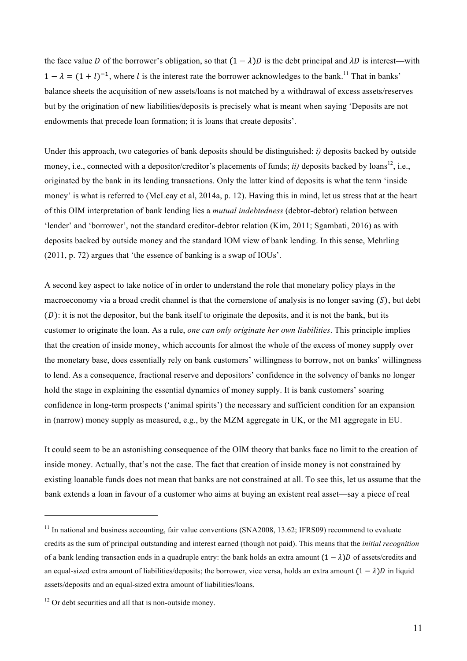the face value D of the borrower's obligation, so that  $(1 - \lambda)D$  is the debt principal and  $\lambda D$  is interest—with  $1 - \lambda = (1 + l)^{-1}$ , where *l* is the interest rate the borrower acknowledges to the bank.<sup>11</sup> That in banks' balance sheets the acquisition of new assets/loans is not matched by a withdrawal of excess assets/reserves but by the origination of new liabilities/deposits is precisely what is meant when saying 'Deposits are not endowments that precede loan formation; it is loans that create deposits'.

Under this approach, two categories of bank deposits should be distinguished: *i)* deposits backed by outside money, i.e., connected with a depositor/creditor's placements of funds; *ii*) deposits backed by loans<sup>12</sup>, i.e., originated by the bank in its lending transactions. Only the latter kind of deposits is what the term 'inside money' is what is referred to (McLeay et al, 2014a, p. 12). Having this in mind, let us stress that at the heart of this OIM interpretation of bank lending lies a *mutual indebtedness* (debtor-debtor) relation between 'lender' and 'borrower', not the standard creditor-debtor relation (Kim, 2011; Sgambati, 2016) as with deposits backed by outside money and the standard IOM view of bank lending. In this sense, Mehrling (2011, p. 72) argues that 'the essence of banking is a swap of IOUs'.

A second key aspect to take notice of in order to understand the role that monetary policy plays in the macroeconomy via a broad credit channel is that the cornerstone of analysis is no longer saving  $(S)$ , but debt  $(D)$ : it is not the depositor, but the bank itself to originate the deposits, and it is not the bank, but its customer to originate the loan. As a rule, *one can only originate her own liabilities*. This principle implies that the creation of inside money, which accounts for almost the whole of the excess of money supply over the monetary base, does essentially rely on bank customers' willingness to borrow, not on banks' willingness to lend. As a consequence, fractional reserve and depositors' confidence in the solvency of banks no longer hold the stage in explaining the essential dynamics of money supply. It is bank customers' soaring confidence in long-term prospects ('animal spirits') the necessary and sufficient condition for an expansion in (narrow) money supply as measured, e.g., by the MZM aggregate in UK, or the M1 aggregate in EU.

It could seem to be an astonishing consequence of the OIM theory that banks face no limit to the creation of inside money. Actually, that's not the case. The fact that creation of inside money is not constrained by existing loanable funds does not mean that banks are not constrained at all. To see this, let us assume that the bank extends a loan in favour of a customer who aims at buying an existent real asset—say a piece of real

 $11$  In national and business accounting, fair value conventions (SNA2008, 13.62; IFRS09) recommend to evaluate credits as the sum of principal outstanding and interest earned (though not paid). This means that the *initial recognition* of a bank lending transaction ends in a quadruple entry: the bank holds an extra amount  $(1 - \lambda)D$  of assets/credits and an equal-sized extra amount of liabilities/deposits; the borrower, vice versa, holds an extra amount  $(1 - \lambda)D$  in liquid assets/deposits and an equal-sized extra amount of liabilities/loans.

<sup>&</sup>lt;sup>12</sup> Or debt securities and all that is non-outside money.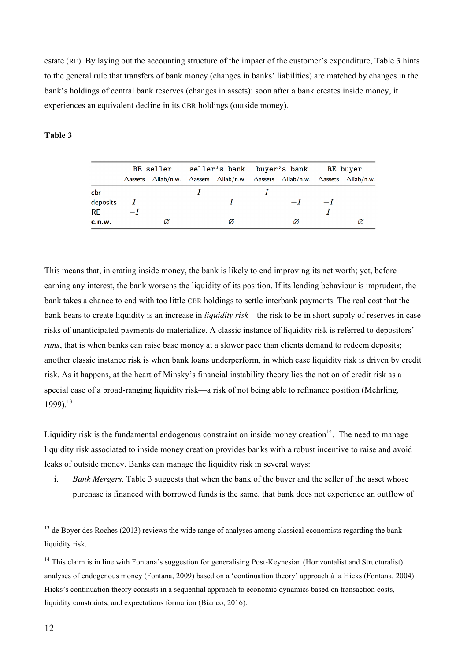estate (RE). By laying out the accounting structure of the impact of the customer's expenditure, Table 3 hints to the general rule that transfers of bank money (changes in banks' liabilities) are matched by changes in the bank's holdings of central bank reserves (changes in assets): soon after a bank creates inside money, it experiences an equivalent decline in its CBR holdings (outside money).

#### **Table 3**

|          |                 |   | RE seller seller's bank buyer's bank RE buyer |                                                                                                                             |      |      |      |  |
|----------|-----------------|---|-----------------------------------------------|-----------------------------------------------------------------------------------------------------------------------------|------|------|------|--|
|          | $\Delta$ assets |   |                                               | $\Delta$ liab/n.w. $\Delta$ assets $\Delta$ liab/n.w. $\Delta$ assets $\Delta$ liab/n.w. $\Delta$ assets $\Delta$ liab/n.w. |      |      |      |  |
| cbr      |                 |   |                                               |                                                                                                                             | $-I$ |      |      |  |
| deposits |                 |   |                                               |                                                                                                                             |      | $-I$ | $-I$ |  |
| RE.      | $-I$            |   |                                               |                                                                                                                             |      |      |      |  |
| c.n.w.   |                 | Ø |                                               | Ø                                                                                                                           |      | Ø    |      |  |

This means that, in crating inside money, the bank is likely to end improving its net worth; yet, before earning any interest, the bank worsens the liquidity of its position. If its lending behaviour is imprudent, the bank takes a chance to end with too little CBR holdings to settle interbank payments. The real cost that the bank bears to create liquidity is an increase in *liquidity risk*—the risk to be in short supply of reserves in case risks of unanticipated payments do materialize. A classic instance of liquidity risk is referred to depositors' *runs*, that is when banks can raise base money at a slower pace than clients demand to redeem deposits; another classic instance risk is when bank loans underperform, in which case liquidity risk is driven by credit risk. As it happens, at the heart of Minsky's financial instability theory lies the notion of credit risk as a special case of a broad-ranging liquidity risk—a risk of not being able to refinance position (Mehrling, 1999). 13

Liquidity risk is the fundamental endogenous constraint on inside money creation<sup>14</sup>. The need to manage liquidity risk associated to inside money creation provides banks with a robust incentive to raise and avoid leaks of outside money. Banks can manage the liquidity risk in several ways:

i. *Bank Mergers.* Table 3 suggests that when the bank of the buyer and the seller of the asset whose purchase is financed with borrowed funds is the same, that bank does not experience an outflow of

<sup>&</sup>lt;sup>13</sup> de Boyer des Roches (2013) reviews the wide range of analyses among classical economists regarding the bank liquidity risk.

<sup>&</sup>lt;sup>14</sup> This claim is in line with Fontana's suggestion for generalising Post-Keynesian (Horizontalist and Structuralist) analyses of endogenous money (Fontana, 2009) based on a 'continuation theory' approach à la Hicks (Fontana, 2004). Hicks's continuation theory consists in a sequential approach to economic dynamics based on transaction costs, liquidity constraints, and expectations formation (Bianco, 2016).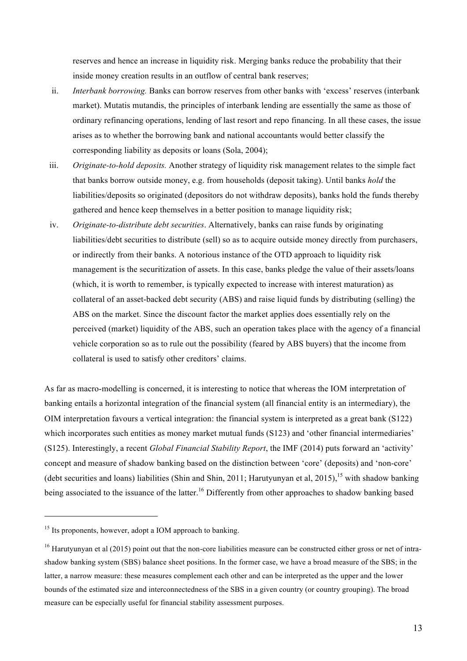reserves and hence an increase in liquidity risk. Merging banks reduce the probability that their inside money creation results in an outflow of central bank reserves;

- ii. *Interbank borrowing.* Banks can borrow reserves from other banks with 'excess' reserves (interbank market). Mutatis mutandis, the principles of interbank lending are essentially the same as those of ordinary refinancing operations, lending of last resort and repo financing. In all these cases, the issue arises as to whether the borrowing bank and national accountants would better classify the corresponding liability as deposits or loans (Sola, 2004);
- iii. *Originate-to-hold deposits.* Another strategy of liquidity risk management relates to the simple fact that banks borrow outside money, e.g. from households (deposit taking). Until banks *hold* the liabilities/deposits so originated (depositors do not withdraw deposits), banks hold the funds thereby gathered and hence keep themselves in a better position to manage liquidity risk;
- iv. *Originate-to-distribute debt securities*. Alternatively, banks can raise funds by originating liabilities/debt securities to distribute (sell) so as to acquire outside money directly from purchasers, or indirectly from their banks. A notorious instance of the OTD approach to liquidity risk management is the securitization of assets. In this case, banks pledge the value of their assets/loans (which, it is worth to remember, is typically expected to increase with interest maturation) as collateral of an asset-backed debt security (ABS) and raise liquid funds by distributing (selling) the ABS on the market. Since the discount factor the market applies does essentially rely on the perceived (market) liquidity of the ABS, such an operation takes place with the agency of a financial vehicle corporation so as to rule out the possibility (feared by ABS buyers) that the income from collateral is used to satisfy other creditors' claims.

As far as macro-modelling is concerned, it is interesting to notice that whereas the IOM interpretation of banking entails a horizontal integration of the financial system (all financial entity is an intermediary), the OIM interpretation favours a vertical integration: the financial system is interpreted as a great bank (S122) which incorporates such entities as money market mutual funds (S123) and 'other financial intermediaries' (S125). Interestingly, a recent *Global Financial Stability Report*, the IMF (2014) puts forward an 'activity' concept and measure of shadow banking based on the distinction between 'core' (deposits) and 'non-core' (debt securities and loans) liabilities (Shin and Shin, 2011; Harutyunyan et al, 2015), <sup>15</sup> with shadow banking being associated to the issuance of the latter.<sup>16</sup> Differently from other approaches to shadow banking based

<sup>&</sup>lt;sup>15</sup> Its proponents, however, adopt a IOM approach to banking.

<sup>&</sup>lt;sup>16</sup> Harutyunyan et al (2015) point out that the non-core liabilities measure can be constructed either gross or net of intrashadow banking system (SBS) balance sheet positions. In the former case, we have a broad measure of the SBS; in the latter, a narrow measure: these measures complement each other and can be interpreted as the upper and the lower bounds of the estimated size and interconnectedness of the SBS in a given country (or country grouping). The broad measure can be especially useful for financial stability assessment purposes.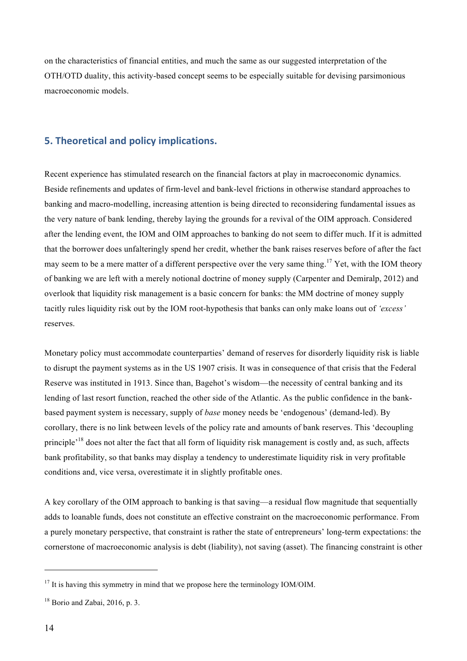on the characteristics of financial entities, and much the same as our suggested interpretation of the OTH/OTD duality, this activity-based concept seems to be especially suitable for devising parsimonious macroeconomic models.

### **5. Theoretical and policy implications.**

Recent experience has stimulated research on the financial factors at play in macroeconomic dynamics. Beside refinements and updates of firm-level and bank-level frictions in otherwise standard approaches to banking and macro-modelling, increasing attention is being directed to reconsidering fundamental issues as the very nature of bank lending, thereby laying the grounds for a revival of the OIM approach. Considered after the lending event, the IOM and OIM approaches to banking do not seem to differ much. If it is admitted that the borrower does unfalteringly spend her credit, whether the bank raises reserves before of after the fact may seem to be a mere matter of a different perspective over the very same thing.<sup>17</sup> Yet, with the IOM theory of banking we are left with a merely notional doctrine of money supply (Carpenter and Demiralp, 2012) and overlook that liquidity risk management is a basic concern for banks: the MM doctrine of money supply tacitly rules liquidity risk out by the IOM root-hypothesis that banks can only make loans out of *'excess'* reserves.

Monetary policy must accommodate counterparties' demand of reserves for disorderly liquidity risk is liable to disrupt the payment systems as in the US 1907 crisis. It was in consequence of that crisis that the Federal Reserve was instituted in 1913. Since than, Bagehot's wisdom—the necessity of central banking and its lending of last resort function, reached the other side of the Atlantic. As the public confidence in the bankbased payment system is necessary, supply of *base* money needs be 'endogenous' (demand-led). By corollary, there is no link between levels of the policy rate and amounts of bank reserves. This 'decoupling principle<sup>'18</sup> does not alter the fact that all form of liquidity risk management is costly and, as such, affects bank profitability, so that banks may display a tendency to underestimate liquidity risk in very profitable conditions and, vice versa, overestimate it in slightly profitable ones.

A key corollary of the OIM approach to banking is that saving—a residual flow magnitude that sequentially adds to loanable funds, does not constitute an effective constraint on the macroeconomic performance. From a purely monetary perspective, that constraint is rather the state of entrepreneurs' long-term expectations: the cornerstone of macroeconomic analysis is debt (liability), not saving (asset). The financing constraint is other

 $17$  It is having this symmetry in mind that we propose here the terminology IOM/OIM.

 $18$  Borio and Zabai, 2016, p. 3.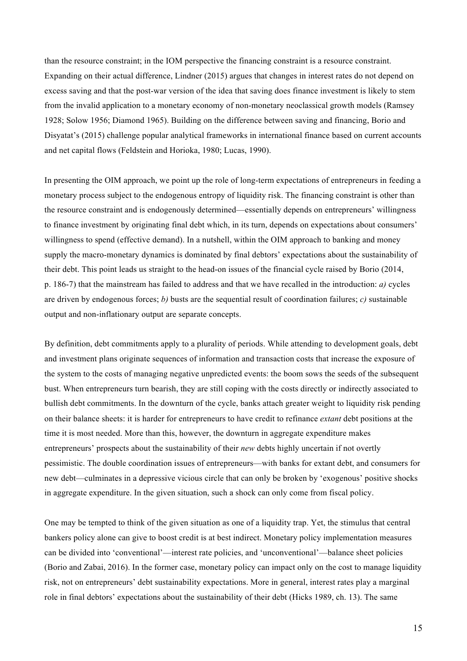than the resource constraint; in the IOM perspective the financing constraint is a resource constraint. Expanding on their actual difference, Lindner (2015) argues that changes in interest rates do not depend on excess saving and that the post-war version of the idea that saving does finance investment is likely to stem from the invalid application to a monetary economy of non-monetary neoclassical growth models (Ramsey 1928; Solow 1956; Diamond 1965). Building on the difference between saving and financing, Borio and Disyatat's (2015) challenge popular analytical frameworks in international finance based on current accounts and net capital flows (Feldstein and Horioka, 1980; Lucas, 1990).

In presenting the OIM approach, we point up the role of long-term expectations of entrepreneurs in feeding a monetary process subject to the endogenous entropy of liquidity risk. The financing constraint is other than the resource constraint and is endogenously determined—essentially depends on entrepreneurs' willingness to finance investment by originating final debt which, in its turn, depends on expectations about consumers' willingness to spend (effective demand). In a nutshell, within the OIM approach to banking and money supply the macro-monetary dynamics is dominated by final debtors' expectations about the sustainability of their debt. This point leads us straight to the head-on issues of the financial cycle raised by Borio (2014, p. 186-7) that the mainstream has failed to address and that we have recalled in the introduction: *a)* cycles are driven by endogenous forces; *b*) busts are the sequential result of coordination failures; *c*) sustainable output and non-inflationary output are separate concepts.

By definition, debt commitments apply to a plurality of periods. While attending to development goals, debt and investment plans originate sequences of information and transaction costs that increase the exposure of the system to the costs of managing negative unpredicted events: the boom sows the seeds of the subsequent bust. When entrepreneurs turn bearish, they are still coping with the costs directly or indirectly associated to bullish debt commitments. In the downturn of the cycle, banks attach greater weight to liquidity risk pending on their balance sheets: it is harder for entrepreneurs to have credit to refinance *extant* debt positions at the time it is most needed. More than this, however, the downturn in aggregate expenditure makes entrepreneurs' prospects about the sustainability of their *new* debts highly uncertain if not overtly pessimistic. The double coordination issues of entrepreneurs—with banks for extant debt, and consumers for new debt—culminates in a depressive vicious circle that can only be broken by 'exogenous' positive shocks in aggregate expenditure. In the given situation, such a shock can only come from fiscal policy.

One may be tempted to think of the given situation as one of a liquidity trap. Yet, the stimulus that central bankers policy alone can give to boost credit is at best indirect. Monetary policy implementation measures can be divided into 'conventional'—interest rate policies, and 'unconventional'—balance sheet policies (Borio and Zabai, 2016). In the former case, monetary policy can impact only on the cost to manage liquidity risk, not on entrepreneurs' debt sustainability expectations. More in general, interest rates play a marginal role in final debtors' expectations about the sustainability of their debt (Hicks 1989, ch. 13). The same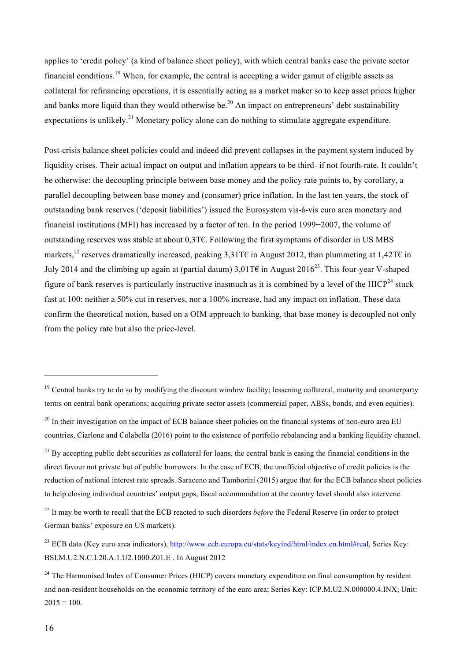applies to 'credit policy' (a kind of balance sheet policy), with which central banks ease the private sector financial conditions.19 When, for example, the central is accepting a wider gamut of eligible assets as collateral for refinancing operations, it is essentially acting as a market maker so to keep asset prices higher and banks more liquid than they would otherwise be.<sup>20</sup> An impact on entrepreneurs' debt sustainability expectations is unlikely.<sup>21</sup> Monetary policy alone can do nothing to stimulate aggregate expenditure.

Post-crisis balance sheet policies could and indeed did prevent collapses in the payment system induced by liquidity crises. Their actual impact on output and inflation appears to be third- if not fourth-rate. It couldn't be otherwise: the decoupling principle between base money and the policy rate points to, by corollary, a parallel decoupling between base money and (consumer) price inflation. In the last ten years, the stock of outstanding bank reserves ('deposit liabilities') issued the Eurosystem vis-à-vis euro area monetary and financial institutions (MFI) has increased by a factor of ten. In the period 1999−2007, the volume of outstanding reserves was stable at about 0,3T€. Following the first symptoms of disorder in US MBS markets,<sup>22</sup> reserves dramatically increased, peaking 3,31T $\epsilon$  in August 2012, than plummeting at 1,42T $\epsilon$  in July 2014 and the climbing up again at (partial datum)  $3.01T\epsilon$  in August 2016<sup>23</sup>. This four-year V-shaped figure of bank reserves is particularly instructive inasmuch as it is combined by a level of the  $HICP<sup>24</sup>$  stuck fast at 100: neither a 50% cut in reserves, nor a 100% increase, had any impact on inflation. These data confirm the theoretical notion, based on a OIM approach to banking, that base money is decoupled not only from the policy rate but also the price-level.

 $21$  By accepting public debt securities as collateral for loans, the central bank is easing the financial conditions in the direct favour not private but of public borrowers. In the case of ECB, the unofficial objective of credit policies is the reduction of national interest rate spreads. Saraceno and Tamborini (2015) argue that for the ECB balance sheet policies to help closing individual countries' output gaps, fiscal accommodation at the country level should also intervene.

<sup>22</sup> It may be worth to recall that the ECB reacted to such disorders *before* the Federal Reserve (in order to protect German banks' exposure on US markets).

 $19$  Central banks try to do so by modifying the discount window facility; lessening collateral, maturity and counterparty terms on central bank operations; acquiring private sector assets (commercial paper, ABSs, bonds, and even equities).

 $20$  In their investigation on the impact of ECB balance sheet policies on the financial systems of non-euro area EU countries, Ciarlone and Colabella (2016) point to the existence of portfolio rebalancing and a banking liquidity channel.

<sup>&</sup>lt;sup>23</sup> ECB data (Key euro area indicators), http://www.ecb.europa.eu/stats/keyind/html/index.en.html#real, Series Key: BSI.M.U2.N.C.L20.A.1.U2.1000.Z01.E . In August 2012

<sup>&</sup>lt;sup>24</sup> The Harmonised Index of Consumer Prices (HICP) covers monetary expenditure on final consumption by resident and non-resident households on the economic territory of the euro area; Series Key: ICP.M.U2.N.000000.4.INX; Unit:  $2015 = 100$ .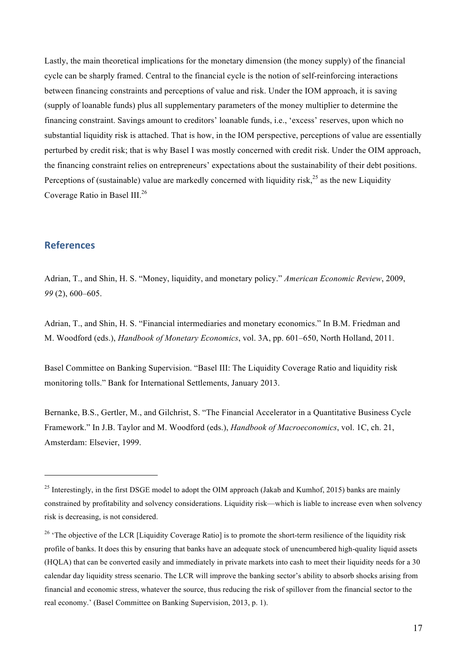Lastly, the main theoretical implications for the monetary dimension (the money supply) of the financial cycle can be sharply framed. Central to the financial cycle is the notion of self-reinforcing interactions between financing constraints and perceptions of value and risk. Under the IOM approach, it is saving (supply of loanable funds) plus all supplementary parameters of the money multiplier to determine the financing constraint. Savings amount to creditors' loanable funds, i.e., 'excess' reserves, upon which no substantial liquidity risk is attached. That is how, in the IOM perspective, perceptions of value are essentially perturbed by credit risk; that is why Basel I was mostly concerned with credit risk. Under the OIM approach, the financing constraint relies on entrepreneurs' expectations about the sustainability of their debt positions. Perceptions of (sustainable) value are markedly concerned with liquidity risk,  $^{25}$  as the new Liquidity Coverage Ratio in Basel III.<sup>26</sup>

#### **References**

 $\overline{a}$ 

Adrian, T., and Shin, H. S. "Money, liquidity, and monetary policy." *American Economic Review*, 2009, *99* (2), 600–605.

Adrian, T., and Shin, H. S. "Financial intermediaries and monetary economics." In B.M. Friedman and M. Woodford (eds.), *Handbook of Monetary Economics*, vol. 3A, pp. 601–650, North Holland, 2011.

Basel Committee on Banking Supervision. "Basel III: The Liquidity Coverage Ratio and liquidity risk monitoring tolls." Bank for International Settlements, January 2013.

Bernanke, B.S., Gertler, M., and Gilchrist, S. "The Financial Accelerator in a Quantitative Business Cycle Framework." In J.B. Taylor and M. Woodford (eds.), *Handbook of Macroeconomics*, vol. 1C, ch. 21, Amsterdam: Elsevier, 1999.

<sup>&</sup>lt;sup>25</sup> Interestingly, in the first DSGE model to adopt the OIM approach (Jakab and Kumhof, 2015) banks are mainly constrained by profitability and solvency considerations. Liquidity risk—which is liable to increase even when solvency risk is decreasing, is not considered.

<sup>&</sup>lt;sup>26</sup> 'The objective of the LCR [Liquidity Coverage Ratio] is to promote the short-term resilience of the liquidity risk profile of banks. It does this by ensuring that banks have an adequate stock of unencumbered high-quality liquid assets (HQLA) that can be converted easily and immediately in private markets into cash to meet their liquidity needs for a 30 calendar day liquidity stress scenario. The LCR will improve the banking sector's ability to absorb shocks arising from financial and economic stress, whatever the source, thus reducing the risk of spillover from the financial sector to the real economy.' (Basel Committee on Banking Supervision, 2013, p. 1).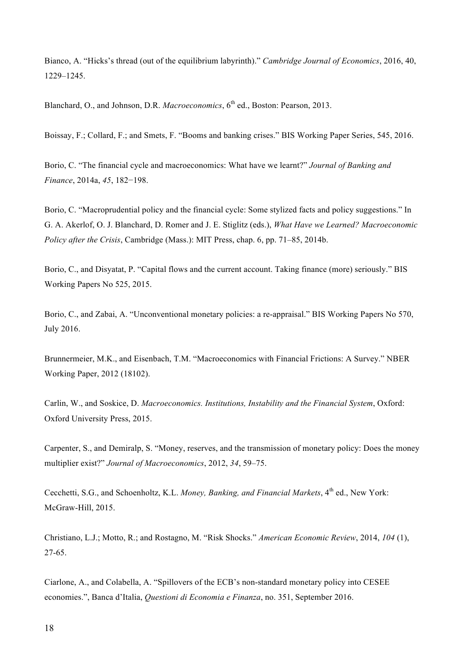Bianco, A. "Hicks's thread (out of the equilibrium labyrinth)." *Cambridge Journal of Economics*, 2016, 40, 1229–1245.

Blanchard, O., and Johnson, D.R. *Macroeconomics*, 6<sup>th</sup> ed., Boston: Pearson, 2013.

Boissay, F.; Collard, F.; and Smets, F. "Booms and banking crises." BIS Working Paper Series, 545, 2016.

Borio, C. "The financial cycle and macroeconomics: What have we learnt?" *Journal of Banking and Finance*, 2014a, *45*, 182−198.

Borio, C. "Macroprudential policy and the financial cycle: Some stylized facts and policy suggestions." In G. A. Akerlof, O. J. Blanchard, D. Romer and J. E. Stiglitz (eds.), *What Have we Learned? Macroeconomic Policy after the Crisis*, Cambridge (Mass.): MIT Press, chap. 6, pp. 71–85, 2014b.

Borio, C., and Disyatat, P. "Capital flows and the current account. Taking finance (more) seriously." BIS Working Papers No 525, 2015.

Borio, C., and Zabai, A. "Unconventional monetary policies: a re-appraisal." BIS Working Papers No 570, July 2016.

Brunnermeier, M.K., and Eisenbach, T.M. "Macroeconomics with Financial Frictions: A Survey." NBER Working Paper, 2012 (18102).

Carlin, W., and Soskice, D. *Macroeconomics. Institutions, Instability and the Financial System*, Oxford: Oxford University Press, 2015.

Carpenter, S., and Demiralp, S. "Money, reserves, and the transmission of monetary policy: Does the money multiplier exist?" *Journal of Macroeconomics*, 2012, *34*, 59–75.

Cecchetti, S.G., and Schoenholtz, K.L. *Money, Banking, and Financial Markets*, 4<sup>th</sup> ed., New York: McGraw-Hill, 2015.

Christiano, L.J.; Motto, R.; and Rostagno, M. "Risk Shocks." *American Economic Review*, 2014, *104* (1), 27-65.

Ciarlone, A., and Colabella, A. "Spillovers of the ECB's non-standard monetary policy into CESEE economies.", Banca d'Italia, *Questioni di Economia e Finanza*, no. 351, September 2016.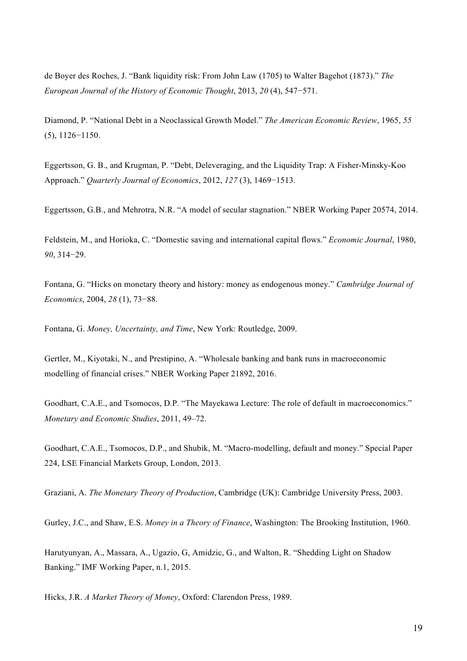de Boyer des Roches, J. "Bank liquidity risk: From John Law (1705) to Walter Bagehot (1873)." *The European Journal of the History of Economic Thought*, 2013, *20* (4), 547−571.

Diamond, P. "National Debt in a Neoclassical Growth Model." *The American Economic Review*, 1965, *55*  (5), 1126−1150.

Eggertsson, G. B., and Krugman, P. "Debt, Deleveraging, and the Liquidity Trap: A Fisher-Minsky-Koo Approach." *Quarterly Journal of Economics*, 2012, *127* (3), 1469−1513.

Eggertsson, G.B., and Mehrotra, N.R. "A model of secular stagnation." NBER Working Paper 20574, 2014.

Feldstein, M., and Horioka, C. "Domestic saving and international capital flows." *Economic Journal*, 1980, *90*, 314−29.

Fontana, G. "Hicks on monetary theory and history: money as endogenous money." *Cambridge Journal of Economics*, 2004, *28* (1), 73−88.

Fontana, G. *Money, Uncertainty, and Time*, New York: Routledge, 2009.

Gertler, M., Kiyotaki, N., and Prestipino, A. "Wholesale banking and bank runs in macroeconomic modelling of financial crises." NBER Working Paper 21892, 2016.

Goodhart, C.A.E., and Tsomocos, D.P. "The Mayekawa Lecture: The role of default in macroeconomics." *Monetary and Economic Studies*, 2011, 49–72.

Goodhart, C.A.E., Tsomocos, D.P., and Shubik, M. "Macro-modelling, default and money." Special Paper 224, LSE Financial Markets Group, London, 2013.

Graziani, A. *The Monetary Theory of Production*, Cambridge (UK): Cambridge University Press, 2003.

Gurley, J.C., and Shaw, E.S. *Money in a Theory of Finance*, Washington: The Brooking Institution, 1960.

Harutyunyan, A., Massara, A., Ugazio, G, Amidzic, G., and Walton, R. "Shedding Light on Shadow Banking." IMF Working Paper, n.1, 2015.

Hicks, J.R. *A Market Theory of Money*, Oxford: Clarendon Press, 1989.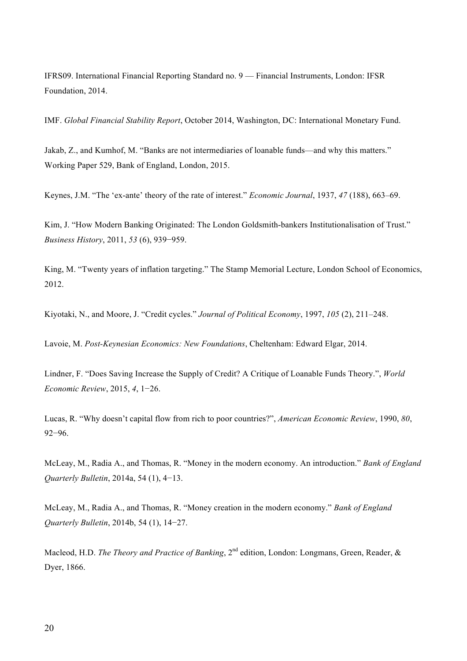IFRS09. International Financial Reporting Standard no. 9 — Financial Instruments, London: IFSR Foundation, 2014.

IMF. *Global Financial Stability Report*, October 2014, Washington, DC: International Monetary Fund.

Jakab, Z., and Kumhof, M. "Banks are not intermediaries of loanable funds—and why this matters." Working Paper 529, Bank of England, London, 2015.

Keynes, J.M. "The 'ex-ante' theory of the rate of interest." *Economic Journal*, 1937, *47* (188), 663–69.

Kim, J. "How Modern Banking Originated: The London Goldsmith-bankers Institutionalisation of Trust." *Business History*, 2011, *53* (6), 939−959.

King, M. "Twenty years of inflation targeting." The Stamp Memorial Lecture, London School of Economics, 2012.

Kiyotaki, N., and Moore, J. "Credit cycles." *Journal of Political Economy*, 1997, *105* (2), 211–248.

Lavoie, M. *Post-Keynesian Economics: New Foundations*, Cheltenham: Edward Elgar, 2014.

Lindner, F. "Does Saving Increase the Supply of Credit? A Critique of Loanable Funds Theory.", *World Economic Review*, 2015, *4*, 1−26.

Lucas, R. "Why doesn't capital flow from rich to poor countries?", *American Economic Review*, 1990, *80*, 92−96.

McLeay, M., Radia A., and Thomas, R. "Money in the modern economy. An introduction." *Bank of England Quarterly Bulletin*, 2014a, 54 (1), 4−13.

McLeay, M., Radia A., and Thomas, R. "Money creation in the modern economy." *Bank of England Quarterly Bulletin*, 2014b, 54 (1), 14−27.

Macleod, H.D. *The Theory and Practice of Banking*, 2<sup>nd</sup> edition, London: Longmans, Green, Reader, & Dyer, 1866.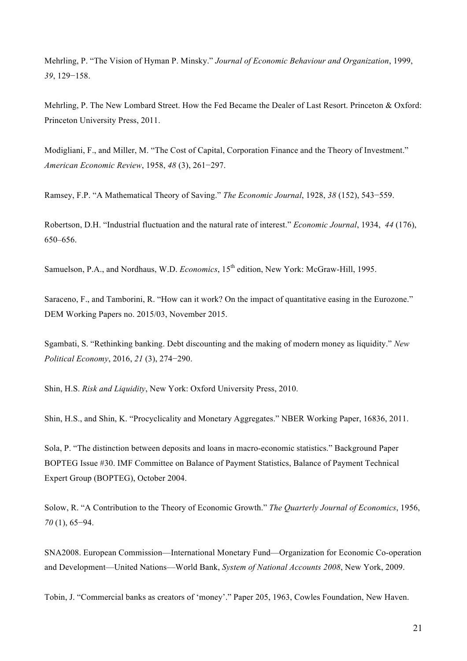Mehrling, P. "The Vision of Hyman P. Minsky." *Journal of Economic Behaviour and Organization*, 1999, *39*, 129−158.

Mehrling, P. The New Lombard Street. How the Fed Became the Dealer of Last Resort. Princeton & Oxford: Princeton University Press, 2011.

Modigliani, F., and Miller, M. "The Cost of Capital, Corporation Finance and the Theory of Investment." *American Economic Review*, 1958, *48* (3), 261−297.

Ramsey, F.P. "A Mathematical Theory of Saving." *The Economic Journal*, 1928, *38* (152), 543−559.

Robertson, D.H. "Industrial fluctuation and the natural rate of interest." *Economic Journal*, 1934, *44* (176), 650–656.

Samuelson, P.A., and Nordhaus, W.D. *Economics*, 15<sup>th</sup> edition, New York: McGraw-Hill, 1995.

Saraceno, F., and Tamborini, R. "How can it work? On the impact of quantitative easing in the Eurozone." DEM Working Papers no. 2015/03, November 2015.

Sgambati, S. "Rethinking banking. Debt discounting and the making of modern money as liquidity." *New Political Economy*, 2016, *21* (3), 274−290.

Shin, H.S. *Risk and Liquidity*, New York: Oxford University Press, 2010.

Shin, H.S., and Shin, K. "Procyclicality and Monetary Aggregates." NBER Working Paper, 16836, 2011.

Sola, P. "The distinction between deposits and loans in macro-economic statistics." Background Paper BOPTEG Issue #30. IMF Committee on Balance of Payment Statistics, Balance of Payment Technical Expert Group (BOPTEG), October 2004.

Solow, R. "A Contribution to the Theory of Economic Growth." *The Quarterly Journal of Economics*, 1956, *70* (1), 65−94.

SNA2008. European Commission—International Monetary Fund—Organization for Economic Co-operation and Development—United Nations—World Bank, *System of National Accounts 2008*, New York, 2009.

Tobin, J. "Commercial banks as creators of 'money'." Paper 205, 1963, Cowles Foundation, New Haven.